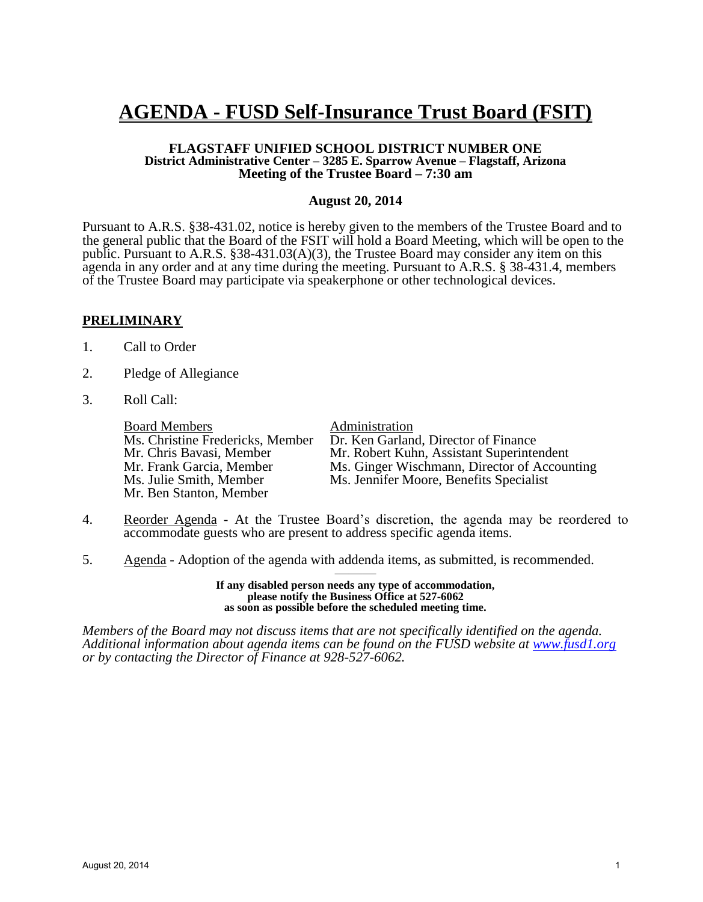# **AGENDA - FUSD Self-Insurance Trust Board (FSIT)**

#### **FLAGSTAFF UNIFIED SCHOOL DISTRICT NUMBER ONE District Administrative Center – 3285 E. Sparrow Avenue – Flagstaff, Arizona Meeting of the Trustee Board – 7:30 am**

#### **August 20, 2014**

Pursuant to A.R.S. §38-431.02, notice is hereby given to the members of the Trustee Board and to the general public that the Board of the FSIT will hold a Board Meeting, which will be open to the public. Pursuant to A.R.S. §38-431.03(A)(3), the Trustee Board may consider any item on this agenda in any order and at any time during the meeting. Pursuant to A.R.S. § 38-431.4, members of the Trustee Board may participate via speakerphone or other technological devices.

#### **PRELIMINARY**

- 1. Call to Order
- 2. Pledge of Allegiance
- 3. Roll Call:

**Board Members**<br>Ms. Christine Fredericks, Member Dr. Ken Garlan Mr. Ben Stanton, Member

Ms. Christine Fredericks, Member Dr. Ken Garland, Director of Finance<br>Mr. Chris Bavasi, Member Mr. Robert Kuhn, Assistant Superinte Mr. Chris Bavasi, Member Mr. Robert Kuhn, Assistant Superintendent<br>Mr. Frank Garcia. Member Ms. Ginger Wischmann. Director of Accour Mr. Frank Garcia, Member Ms. Ginger Wischmann, Director of Accounting<br>Ms. Julie Smith. Member Ms. Jennifer Moore. Benefits Specialist Ms. Jennifer Moore, Benefits Specialist

- 4. Reorder Agenda At the Trustee Board's discretion, the agenda may be reordered to accommodate guests who are present to address specific agenda items.
- 5. Agenda Adoption of the agenda with addenda items, as submitted, is recommended.

——— **If any disabled person needs any type of accommodation, please notify the Business Office at 527-6062 as soon as possible before the scheduled meeting time.**

*Members of the Board may not discuss items that are not specifically identified on the agenda. Additional information about agenda items can be found on the FUSD website at [www.fusd1.org](http://www.fusd1.org/) or by contacting the Director of Finance at 928-527-6062.*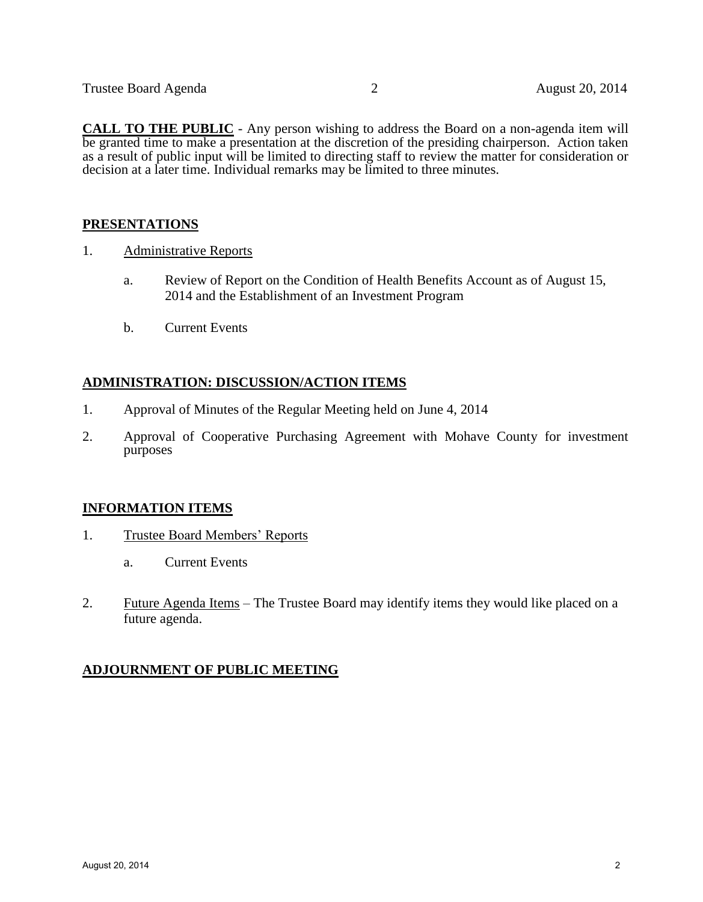**CALL TO THE PUBLIC** - Any person wishing to address the Board on a non-agenda item will be granted time to make a presentation at the discretion of the presiding chairperson. Action taken as a result of public input will be limited to directing staff to review the matter for consideration or decision at a later time. Individual remarks may be limited to three minutes.

### **PRESENTATIONS**

- 1. Administrative Reports
	- a. Review of Report on the Condition of Health Benefits Account as of August 15, 2014 and the Establishment of an Investment Program
	- b. Current Events

### **ADMINISTRATION: DISCUSSION/ACTION ITEMS**

- 1. Approval of Minutes of the Regular Meeting held on June 4, 2014
- 2. Approval of Cooperative Purchasing Agreement with Mohave County for investment purposes

### **INFORMATION ITEMS**

- 1. Trustee Board Members' Reports
	- a. Current Events
- 2. Future Agenda Items The Trustee Board may identify items they would like placed on a future agenda.

# **ADJOURNMENT OF PUBLIC MEETING**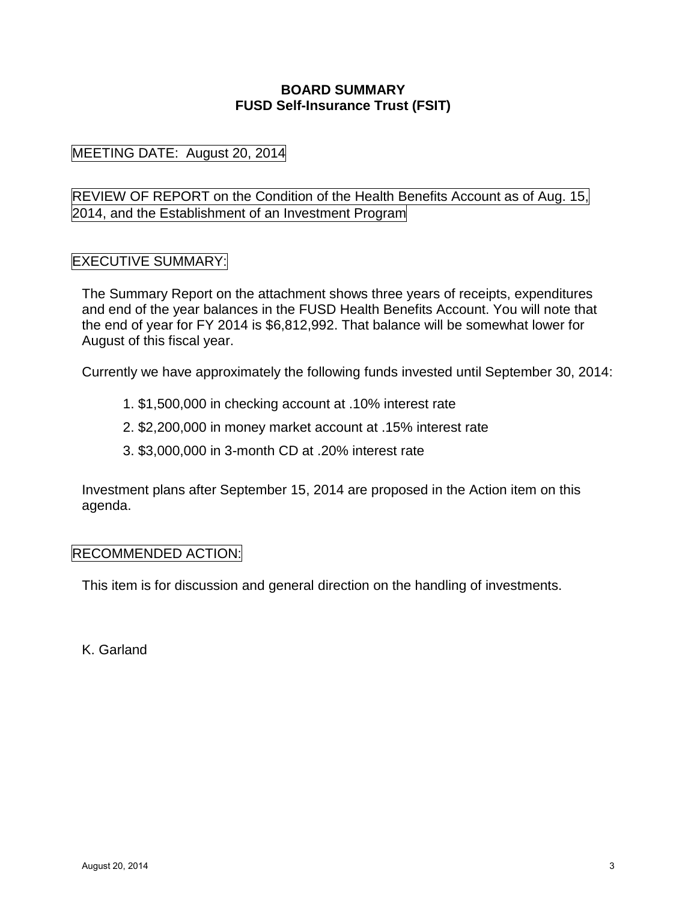# **BOARD SUMMARY FUSD Self-Insurance Trust (FSIT)**

MEETING DATE: August 20, 2014

REVIEW OF REPORT on the Condition of the Health Benefits Account as of Aug. 15, 2014, and the Establishment of an Investment Program

# EXECUTIVE SUMMARY:

The Summary Report on the attachment shows three years of receipts, expenditures and end of the year balances in the FUSD Health Benefits Account. You will note that the end of year for FY 2014 is \$6,812,992. That balance will be somewhat lower for August of this fiscal year.

Currently we have approximately the following funds invested until September 30, 2014:

- 1. \$1,500,000 in checking account at .10% interest rate
- 2. \$2,200,000 in money market account at .15% interest rate
- 3. \$3,000,000 in 3-month CD at .20% interest rate

Investment plans after September 15, 2014 are proposed in the Action item on this agenda.

# RECOMMENDED ACTION:

This item is for discussion and general direction on the handling of investments.

K. Garland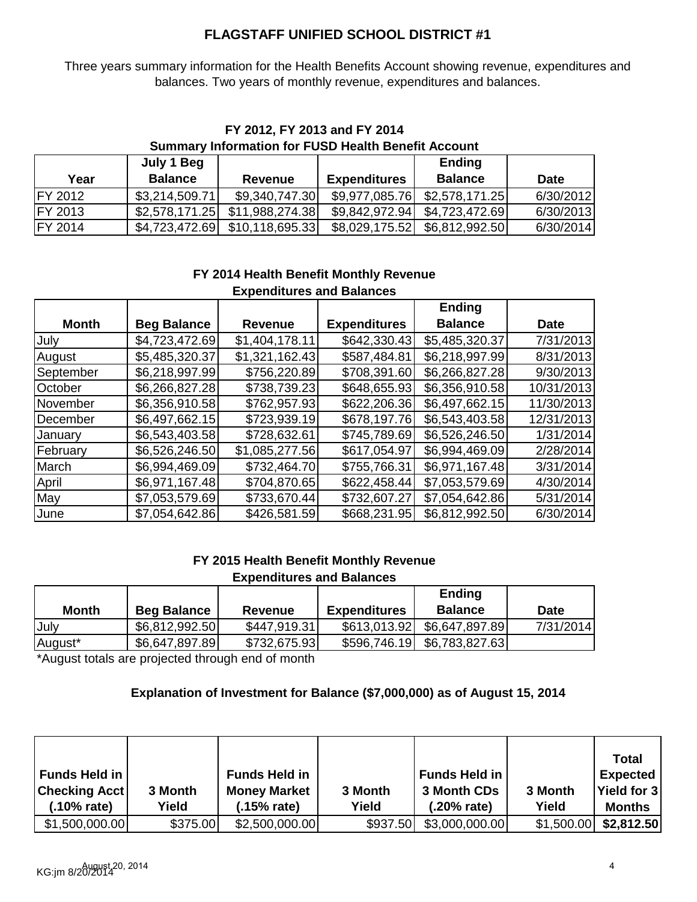# **FLAGSTAFF UNIFIED SCHOOL DISTRICT #1**

Three years summary information for the Health Benefits Account showing revenue, expenditures and balances. Two years of monthly revenue, expenditures and balances.

# **FY 2012, FY 2013 and FY 2014 Summary Information for FUSD Health Benefit Account**

|                 | July 1 Beg     |                 |                     | <b>Ending</b>  |             |
|-----------------|----------------|-----------------|---------------------|----------------|-------------|
| Year            | <b>Balance</b> | Revenue         | <b>Expenditures</b> | <b>Balance</b> | <b>Date</b> |
| FY 2012         | \$3,214,509.71 | \$9,340,747.30  | \$9,977,085.76      | \$2,578,171.25 | 6/30/2012   |
| IFY 2013        | \$2,578,171.25 | \$11,988,274.38 | \$9,842,972.94      | \$4,723,472.69 | 6/30/2013   |
| <b>IFY 2014</b> | \$4,723,472.69 | \$10,118,695.33 |                     |                | 6/30/2014   |

#### **FY 2014 Health Benefit Monthly Revenue Expenditures and Balances**

|              |                    |                |                     | <b>Ending</b>  |             |
|--------------|--------------------|----------------|---------------------|----------------|-------------|
| <b>Month</b> | <b>Beg Balance</b> | <b>Revenue</b> | <b>Expenditures</b> | <b>Balance</b> | <b>Date</b> |
| July         | \$4,723,472.69     | \$1,404,178.11 | \$642,330.43        | \$5,485,320.37 | 7/31/2013   |
| August       | \$5,485,320.37     | \$1,321,162.43 | \$587,484.81        | \$6,218,997.99 | 8/31/2013   |
| September    | \$6,218,997.99     | \$756,220.89   | \$708,391.60        | \$6,266,827.28 | 9/30/2013   |
| October      | \$6,266,827.28     | \$738,739.23   | \$648,655.93        | \$6,356,910.58 | 10/31/2013  |
| November     | \$6,356,910.58     | \$762,957.93   | \$622,206.36        | \$6,497,662.15 | 11/30/2013  |
| December     | \$6,497,662.15     | \$723,939.19   | \$678,197.76        | \$6,543,403.58 | 12/31/2013  |
| January      | \$6,543,403.58     | \$728,632.61   | \$745,789.69        | \$6,526,246.50 | 1/31/2014   |
| February     | \$6,526,246.50     | \$1,085,277.56 | \$617,054.97        | \$6,994,469.09 | 2/28/2014   |
| March        | \$6,994,469.09     | \$732,464.70   | \$755,766.31        | \$6,971,167.48 | 3/31/2014   |
| April        | \$6,971,167.48     | \$704,870.65   | \$622,458.44        | \$7,053,579.69 | 4/30/2014   |
| May          | \$7,053,579.69     | \$733,670.44   | \$732,607.27        | \$7,054,642.86 | 5/31/2014   |
| June         | \$7,054,642.86     | \$426,581.59   | \$668,231.95        | \$6,812,992.50 | 6/30/2014   |

# **FY 2015 Health Benefit Monthly Revenue**

| <b>Expenditures and Balances</b> |  |
|----------------------------------|--|
|                                  |  |

|              |                    |              |                     | <b>Ending</b>  |             |
|--------------|--------------------|--------------|---------------------|----------------|-------------|
| <b>Month</b> | <b>Beg Balance</b> | Revenue      | <b>Expenditures</b> | <b>Balance</b> | <b>Date</b> |
| July         | \$6,812,992.50     | \$447,919.31 |                     |                | 7/31/2014   |
| August*      | \$6,647,897.89     | \$732,675.93 |                     |                |             |

\*August totals are projected through end of month

# **Explanation of Investment for Balance (\$7,000,000) as of August 15, 2014**

| Funds Held in  <br><b>Checking Acct</b><br>$(.10\% \text{ rate})$ | 3 Month<br>Yield | <b>Funds Held in</b><br><b>Money Market</b><br>(.15% rate) | 3 Month<br>Yield | <b>Funds Held in</b><br>3 Month CDs<br>$(.20\% \text{ rate})$ | 3 Month<br>Yield | Total<br><b>Expected</b><br>Yield for 3<br><b>Months</b> |
|-------------------------------------------------------------------|------------------|------------------------------------------------------------|------------------|---------------------------------------------------------------|------------------|----------------------------------------------------------|
| \$1,500,000.00                                                    | \$375.00         | \$2,500,000.00                                             | \$937.50         | \$3,000,000.00                                                | \$1,500.00       | \$2,812.50                                               |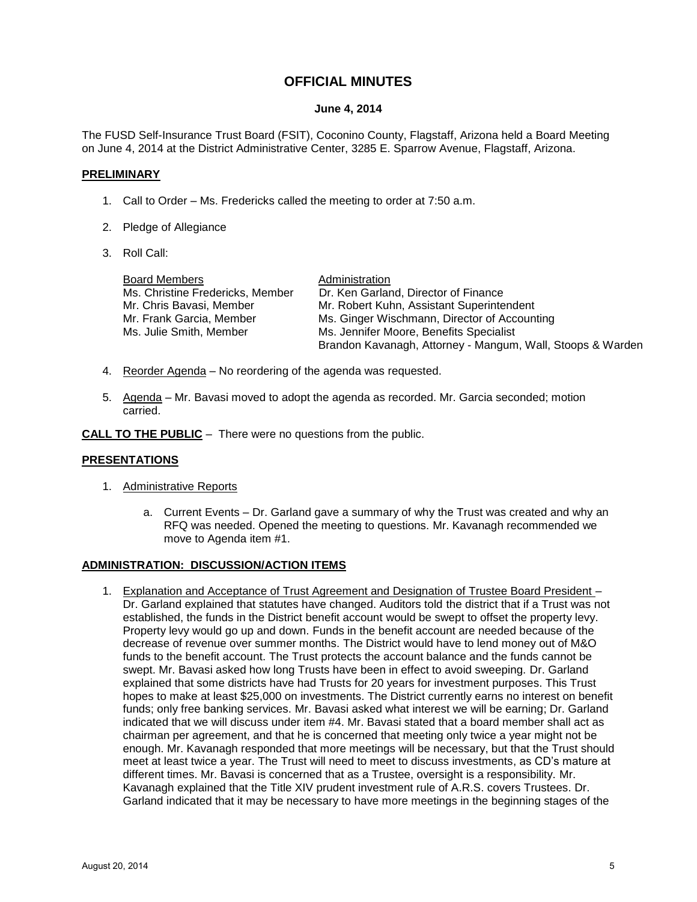# **OFFICIAL MINUTES**

#### **June 4, 2014**

The FUSD Self-Insurance Trust Board (FSIT), Coconino County, Flagstaff, Arizona held a Board Meeting on June 4, 2014 at the District Administrative Center, 3285 E. Sparrow Avenue, Flagstaff, Arizona.

#### **PRELIMINARY**

- 1. Call to Order Ms. Fredericks called the meeting to order at 7:50 a.m.
- 2. Pledge of Allegiance
- 3. Roll Call:

| <b>Board Members</b>             | Administration                                             |
|----------------------------------|------------------------------------------------------------|
| Ms. Christine Fredericks, Member | Dr. Ken Garland, Director of Finance                       |
| Mr. Chris Bavasi, Member         | Mr. Robert Kuhn, Assistant Superintendent                  |
| Mr. Frank Garcia, Member         | Ms. Ginger Wischmann, Director of Accounting               |
| Ms. Julie Smith, Member          | Ms. Jennifer Moore, Benefits Specialist                    |
|                                  | Brandon Kavanagh, Attorney - Mangum, Wall, Stoops & Warden |

- 4. Reorder Agenda No reordering of the agenda was requested.
- 5. Agenda Mr. Bavasi moved to adopt the agenda as recorded. Mr. Garcia seconded; motion carried.

**CALL TO THE PUBLIC** – There were no questions from the public.

#### **PRESENTATIONS**

- 1. Administrative Reports
	- a. Current Events Dr. Garland gave a summary of why the Trust was created and why an RFQ was needed. Opened the meeting to questions. Mr. Kavanagh recommended we move to Agenda item #1.

#### **ADMINISTRATION: DISCUSSION/ACTION ITEMS**

1. Explanation and Acceptance of Trust Agreement and Designation of Trustee Board President – Dr. Garland explained that statutes have changed. Auditors told the district that if a Trust was not established, the funds in the District benefit account would be swept to offset the property levy. Property levy would go up and down. Funds in the benefit account are needed because of the decrease of revenue over summer months. The District would have to lend money out of M&O funds to the benefit account. The Trust protects the account balance and the funds cannot be swept. Mr. Bavasi asked how long Trusts have been in effect to avoid sweeping. Dr. Garland explained that some districts have had Trusts for 20 years for investment purposes. This Trust hopes to make at least \$25,000 on investments. The District currently earns no interest on benefit funds; only free banking services. Mr. Bavasi asked what interest we will be earning; Dr. Garland indicated that we will discuss under item #4. Mr. Bavasi stated that a board member shall act as chairman per agreement, and that he is concerned that meeting only twice a year might not be enough. Mr. Kavanagh responded that more meetings will be necessary, but that the Trust should meet at least twice a year. The Trust will need to meet to discuss investments, as CD's mature at different times. Mr. Bavasi is concerned that as a Trustee, oversight is a responsibility. Mr. Kavanagh explained that the Title XIV prudent investment rule of A.R.S. covers Trustees. Dr. Garland indicated that it may be necessary to have more meetings in the beginning stages of the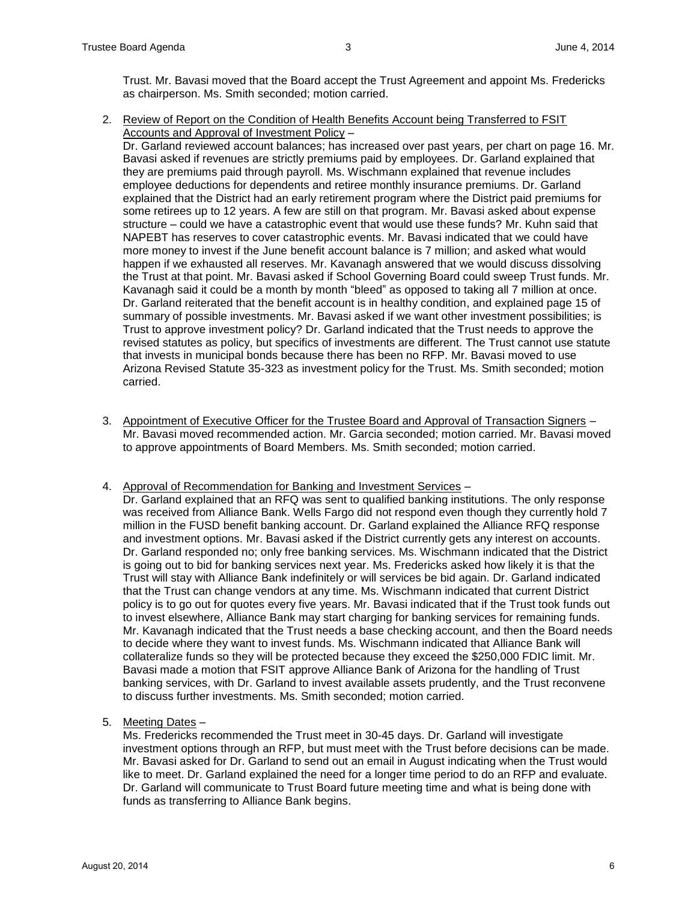Trust. Mr. Bavasi moved that the Board accept the Trust Agreement and appoint Ms. Fredericks as chairperson. Ms. Smith seconded; motion carried.

2. Review of Report on the Condition of Health Benefits Account being Transferred to FSIT Accounts and Approval of Investment Policy –

Dr. Garland reviewed account balances; has increased over past years, per chart on page 16. Mr. Bavasi asked if revenues are strictly premiums paid by employees. Dr. Garland explained that they are premiums paid through payroll. Ms. Wischmann explained that revenue includes employee deductions for dependents and retiree monthly insurance premiums. Dr. Garland explained that the District had an early retirement program where the District paid premiums for some retirees up to 12 years. A few are still on that program. Mr. Bavasi asked about expense structure – could we have a catastrophic event that would use these funds? Mr. Kuhn said that NAPEBT has reserves to cover catastrophic events. Mr. Bavasi indicated that we could have more money to invest if the June benefit account balance is 7 million; and asked what would happen if we exhausted all reserves. Mr. Kavanagh answered that we would discuss dissolving the Trust at that point. Mr. Bavasi asked if School Governing Board could sweep Trust funds. Mr. Kavanagh said it could be a month by month "bleed" as opposed to taking all 7 million at once. Dr. Garland reiterated that the benefit account is in healthy condition, and explained page 15 of summary of possible investments. Mr. Bavasi asked if we want other investment possibilities; is Trust to approve investment policy? Dr. Garland indicated that the Trust needs to approve the revised statutes as policy, but specifics of investments are different. The Trust cannot use statute that invests in municipal bonds because there has been no RFP. Mr. Bavasi moved to use Arizona Revised Statute 35-323 as investment policy for the Trust. Ms. Smith seconded; motion carried.

- 3. Appointment of Executive Officer for the Trustee Board and Approval of Transaction Signers Mr. Bavasi moved recommended action. Mr. Garcia seconded; motion carried. Mr. Bavasi moved to approve appointments of Board Members. Ms. Smith seconded; motion carried.
- 4. Approval of Recommendation for Banking and Investment Services
	- Dr. Garland explained that an RFQ was sent to qualified banking institutions. The only response was received from Alliance Bank. Wells Fargo did not respond even though they currently hold 7 million in the FUSD benefit banking account. Dr. Garland explained the Alliance RFQ response and investment options. Mr. Bavasi asked if the District currently gets any interest on accounts. Dr. Garland responded no; only free banking services. Ms. Wischmann indicated that the District is going out to bid for banking services next year. Ms. Fredericks asked how likely it is that the Trust will stay with Alliance Bank indefinitely or will services be bid again. Dr. Garland indicated that the Trust can change vendors at any time. Ms. Wischmann indicated that current District policy is to go out for quotes every five years. Mr. Bavasi indicated that if the Trust took funds out to invest elsewhere, Alliance Bank may start charging for banking services for remaining funds. Mr. Kavanagh indicated that the Trust needs a base checking account, and then the Board needs to decide where they want to invest funds. Ms. Wischmann indicated that Alliance Bank will collateralize funds so they will be protected because they exceed the \$250,000 FDIC limit. Mr. Bavasi made a motion that FSIT approve Alliance Bank of Arizona for the handling of Trust banking services, with Dr. Garland to invest available assets prudently, and the Trust reconvene to discuss further investments. Ms. Smith seconded; motion carried.
- 5. Meeting Dates –

Ms. Fredericks recommended the Trust meet in 30-45 days. Dr. Garland will investigate investment options through an RFP, but must meet with the Trust before decisions can be made. Mr. Bavasi asked for Dr. Garland to send out an email in August indicating when the Trust would like to meet. Dr. Garland explained the need for a longer time period to do an RFP and evaluate. Dr. Garland will communicate to Trust Board future meeting time and what is being done with funds as transferring to Alliance Bank begins.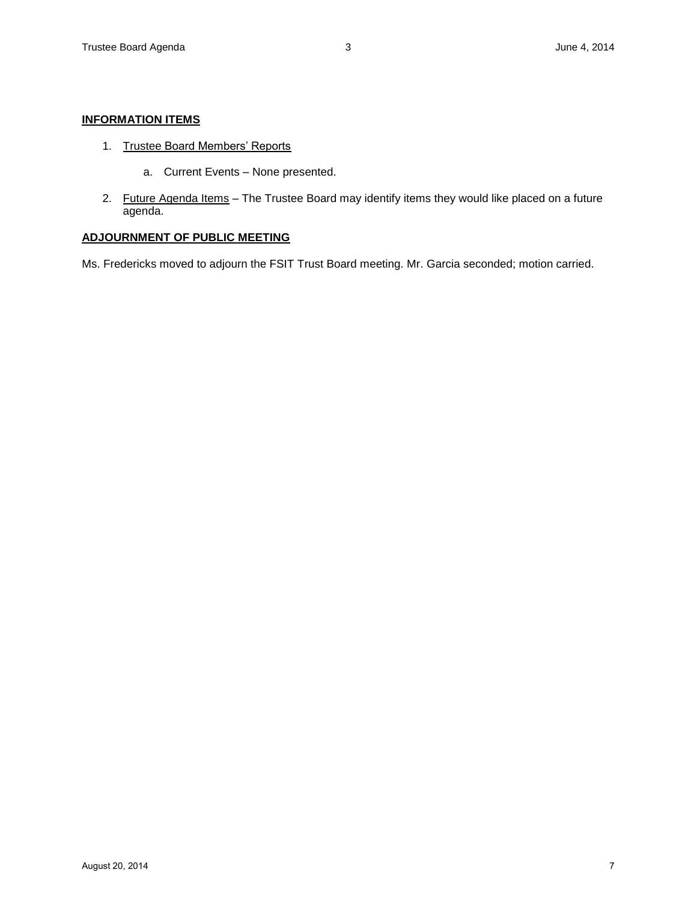#### **INFORMATION ITEMS**

- 1. Trustee Board Members' Reports
	- a. Current Events None presented.
- 2. Future Agenda Items The Trustee Board may identify items they would like placed on a future agenda.

#### **ADJOURNMENT OF PUBLIC MEETING**

Ms. Fredericks moved to adjourn the FSIT Trust Board meeting. Mr. Garcia seconded; motion carried.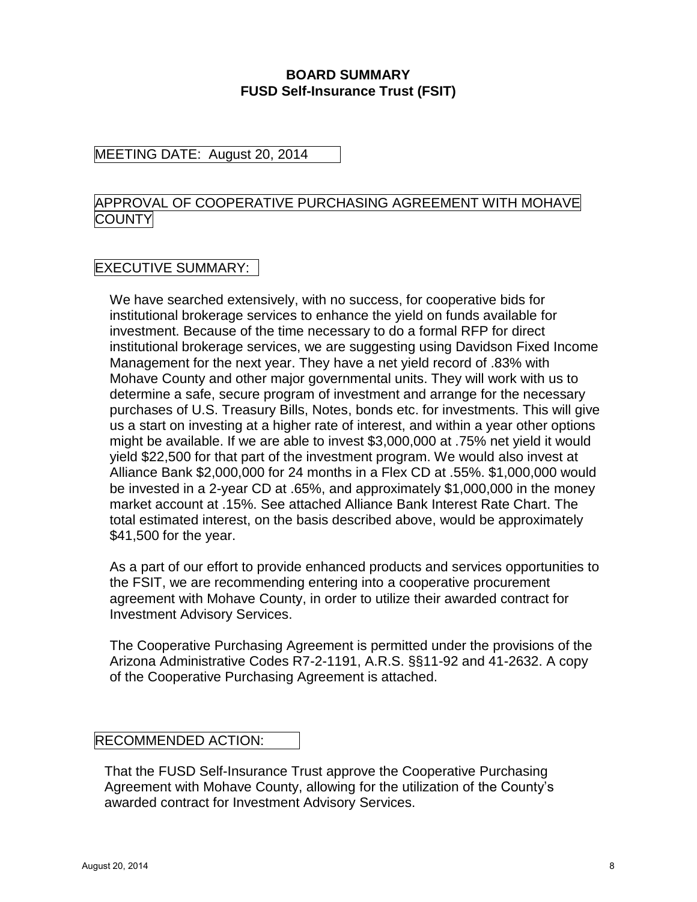# **BOARD SUMMARY FUSD Self-Insurance Trust (FSIT)**

# MEETING DATE: August 20, 2014

# APPROVAL OF COOPERATIVE PURCHASING AGREEMENT WITH MOHAVE **COUNTY**

# EXECUTIVE SUMMARY:

We have searched extensively, with no success, for cooperative bids for institutional brokerage services to enhance the yield on funds available for investment. Because of the time necessary to do a formal RFP for direct institutional brokerage services, we are suggesting using Davidson Fixed Income Management for the next year. They have a net yield record of .83% with Mohave County and other major governmental units. They will work with us to determine a safe, secure program of investment and arrange for the necessary purchases of U.S. Treasury Bills, Notes, bonds etc. for investments. This will give us a start on investing at a higher rate of interest, and within a year other options might be available. If we are able to invest \$3,000,000 at .75% net yield it would yield \$22,500 for that part of the investment program. We would also invest at Alliance Bank \$2,000,000 for 24 months in a Flex CD at .55%. \$1,000,000 would be invested in a 2-year CD at .65%, and approximately \$1,000,000 in the money market account at .15%. See attached Alliance Bank Interest Rate Chart. The total estimated interest, on the basis described above, would be approximately \$41,500 for the year.

As a part of our effort to provide enhanced products and services opportunities to the FSIT, we are recommending entering into a cooperative procurement agreement with Mohave County, in order to utilize their awarded contract for Investment Advisory Services.

The Cooperative Purchasing Agreement is permitted under the provisions of the Arizona Administrative Codes R7-2-1191, A.R.S. §§11-92 and 41-2632. A copy of the Cooperative Purchasing Agreement is attached.

# RECOMMENDED ACTION:

That the FUSD Self-Insurance Trust approve the Cooperative Purchasing Agreement with Mohave County, allowing for the utilization of the County's awarded contract for Investment Advisory Services.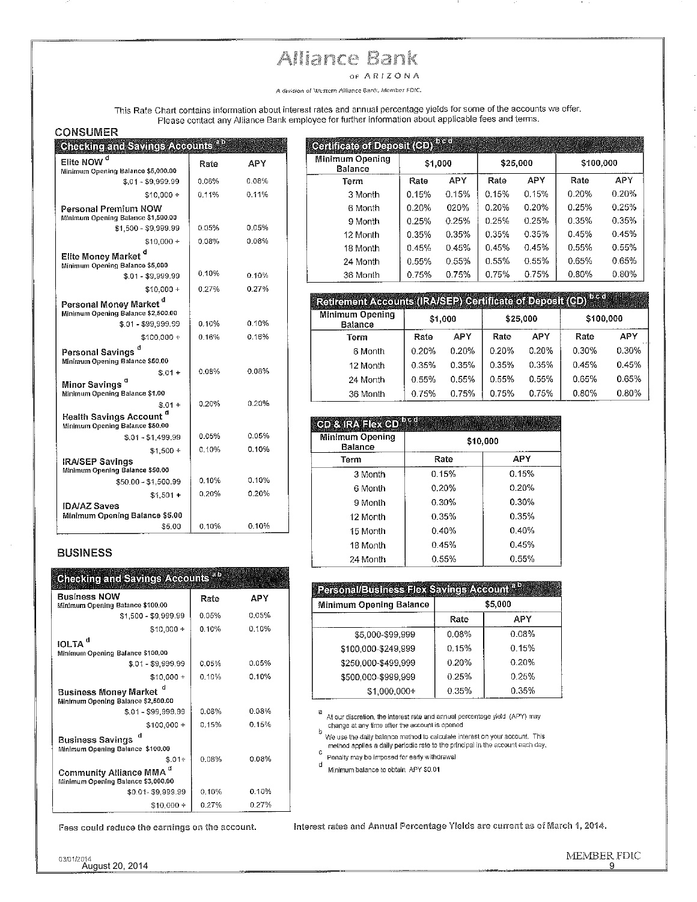# Alliance Bank

OF ARIZONA

A division of Western Alliance Bank, Member FDIC.

This Rate Chart contains information about interest rates and annual percentage yields for some of the accounts we offer.<br>Please contact any Alliance Bank employee for further information about applicable fees and terms.

#### **CONSUMER**

| Chad the and Savines Adopthis                                                            |       |          |
|------------------------------------------------------------------------------------------|-------|----------|
| Elite NOW <sup>d</sup>                                                                   | Rate  | APY      |
| Minimum Opening Balance \$5,000.00                                                       |       |          |
| \$.01 - \$9.999.99                                                                       | 0.08% | 0.08%    |
| $$10,000 +$                                                                              | 0.11% | 0.11%    |
| Personal Premium NOW<br>Minimum Opening Balance \$1,500.00                               |       |          |
| \$1,500 - \$9,999.99                                                                     | 0.05% | 0.05%    |
| $$10,000 +$                                                                              | 0.08% | 0.08%    |
| Elite Money Market <sup>d</sup><br>Minimum Opening Balance \$5,000<br>\$.01 - \$9 999.99 | 0.10% | 0.10%    |
| $$10.000 +$                                                                              | 0.27% | 0.27%    |
| Personal Money Market <sup>d</sup><br>Minimum Opening Balance \$2,500.00                 |       |          |
| \$.01 - \$99,999.99                                                                      | 0.10% | 0.10%    |
| \$100,000 +                                                                              | 0.16% | 0.16%    |
| d<br>Personal Savings<br>Minimum Opening Balance \$50.00                                 |       |          |
| $$.01 +$<br>Minor Savings <sup>d</sup><br>Minimum Opening Balance \$1.00                 | 0.08% | $0.08\%$ |
| $$.01 +$<br><b>Health Savings Account</b>                                                | 0.20% | 0.20%    |
| Minimum Opening Balance \$50.00                                                          |       |          |
| $$.01 - $1,499.99$                                                                       | 0.05% | 0.05%    |
| $$1,500 +$                                                                               | 0.10% | 0.10%    |
| <b>IRA/SEP Savings</b><br>Minimum Opening Balance \$50.00                                |       |          |
| \$50,00 - \$1,500.99                                                                     | 0.10% | 0.10%    |
| $$1,501 +$                                                                               | 0.20% | 0.20%    |
| <b>IDA/AZ Saves</b><br>Minimum Opening Balance \$5.00                                    |       |          |
| \$5.00                                                                                   | 0.10% | 0.10%    |

#### **BUSINESS**

| Checking and Savings Accounts <sup>ap</sup>                   |       |       |
|---------------------------------------------------------------|-------|-------|
| Business NOW<br>Minimum Opening Balance \$100.00              | Rate  | APY   |
| \$1,500 - \$9,999,99                                          | 0.05% | 0.05% |
| $$10,000 +$                                                   | 0.10% | 0.10% |
| IOLTA <sup>d</sup><br>Minimum Opening Balance \$100.00        |       |       |
| \$01-\$9,999.99                                               | 0.05% | 0.05% |
| $$10,000 +$                                                   | 0.10% | 0.10% |
| Business Money Market d<br>Minimum Opening Balance \$2,500.00 |       |       |
| $$.01 - $99.999.99$                                           | 0.08% | 0.08% |
| \$100,000+                                                    | 0.15% | 0.15% |
| <b>Business Savings</b><br>Minimum Opening Balance \$100.00   |       |       |
| $$.01+$                                                       | 0.08% | 0.08% |
| Community Alliance MMA<br>Minimum Opening Balance \$3,000.00  |       |       |
| \$0.01-\$9,999.99                                             | 0.10% | 0.10% |
| $$10,000 +$                                                   | 0.27% | 0.27% |

Fees could reduce the earnings on the account.

| <b>Cailliteacaí Danair (CD)</b> bea |         |       |          |       |           |       |
|-------------------------------------|---------|-------|----------|-------|-----------|-------|
| Minimum Opening<br>Balance          | \$1,000 |       | \$25,000 |       | \$100,000 |       |
| Term                                | Rate    | APY   | Rate     | APY   | Rate      | APY   |
| 3 Month                             | 0.15%   | 0.15% | 0.15%    | 0.15% | 0.20%     | 0.20% |
| 6 Month                             | 0.20%   | 020%  | 0.20%    | 0.20% | 0.25%     | 0.25% |
| 9 Month                             | 0.25%   | 0.25% | 0.25%    | 0.25% | 0.35%     | 0.35% |
| 12 Month                            | 0.35%   | 0.35% | 0.35%    | 0.35% | 0.45%     | 0.45% |
| 18 Month                            | 0.45%   | 0.45% | 0.45%    | 0.45% | 0.55%     | 0.55% |
| 24 Month                            | 0.55%   | 0.55% | 0.55%    | 0.55% | 0.65%     | 0.65% |
| 36 Month                            | 0.75%   | 0.75% | 0.75%    | 0.75% | 0.80%     | 0.80% |

| [Retirement Accounts (IRA/SEP) Certificate of Deposit (CD) <sup>b.c.d.</sup> |         |       |          |            |           |       |
|------------------------------------------------------------------------------|---------|-------|----------|------------|-----------|-------|
| Minimum Opening<br>Balance                                                   | \$1,000 |       | \$25,000 |            | \$100,000 |       |
| Term                                                                         | Rate    | APY   | Rate     | <b>APY</b> | Rate      | APY   |
| 6 Month                                                                      | 0.20%   | 0.20% | 0.20%    | 0.20%      | 0.30%     | 0.30% |
| 12 Month                                                                     | 0.35%   | 0.35% | 0.35%    | 0.35%      | 0.45%     | 0.45% |
| 24 Month                                                                     | 0.55%   | 0.55% | 0.55%    | 0.55%      | 0.65%     | 0.65% |
| 36 Month                                                                     | 0.75%   | 0.75% | 0.75%    | 0.75%      | 0.80%     | 0.80% |

| <b>de Califation de la co</b>     |          |       |  |  |  |
|-----------------------------------|----------|-------|--|--|--|
| Minimum Opening<br><b>Balance</b> | \$10,000 |       |  |  |  |
| Term                              | Rate     | APY   |  |  |  |
| 3 Month                           | 0.15%    | 0.15% |  |  |  |
| 6 Month                           | 0.20%    | 0.20% |  |  |  |
| 9 Month                           | 0.30%    | 0.30% |  |  |  |
| 12 Month                          | 0.35%    | 0.35% |  |  |  |
| 15 Month                          | 0.40%    | 0.40% |  |  |  |
| 18 Month                          | 0.45%    | 0.45% |  |  |  |
| 24 Month                          | 0.55%    | 0.55% |  |  |  |

| <u>Personal/Business Hex Savings Account <sup>a D</sup></u> |       |         |  |  |  |  |
|-------------------------------------------------------------|-------|---------|--|--|--|--|
| <b>Minimum Opening Balance</b>                              |       | \$5,000 |  |  |  |  |
|                                                             | Rate  | APY     |  |  |  |  |
| \$5,000-\$99,999                                            | 0.08% | 0.08%   |  |  |  |  |
| \$100,000-\$249.999                                         | 0.15% | 0.15%   |  |  |  |  |
| \$250.000-\$499.999                                         | 0.20% | 0.20%   |  |  |  |  |
| \$500.000-\$999.999                                         | 0.25% | 0.25%   |  |  |  |  |
| \$1.000.000+                                                | 0.35% | 0.35%   |  |  |  |  |

a<br>At our discretion, the interest rate and annual percentage yield (APY) may change at any time after the account is opened

Change at any time energy the second to calculate interest on your account. This<br>We use the daily balance method to calculate interest on your account. This<br>method applies a daily periodic rate to the principal in the acco

C<br>Penalty may be imposed for early withdrawal

d<br>Minimum balance to obtain APY \$0.01

Interest rates and Annual Percentage Yields are current as of March 1, 2014.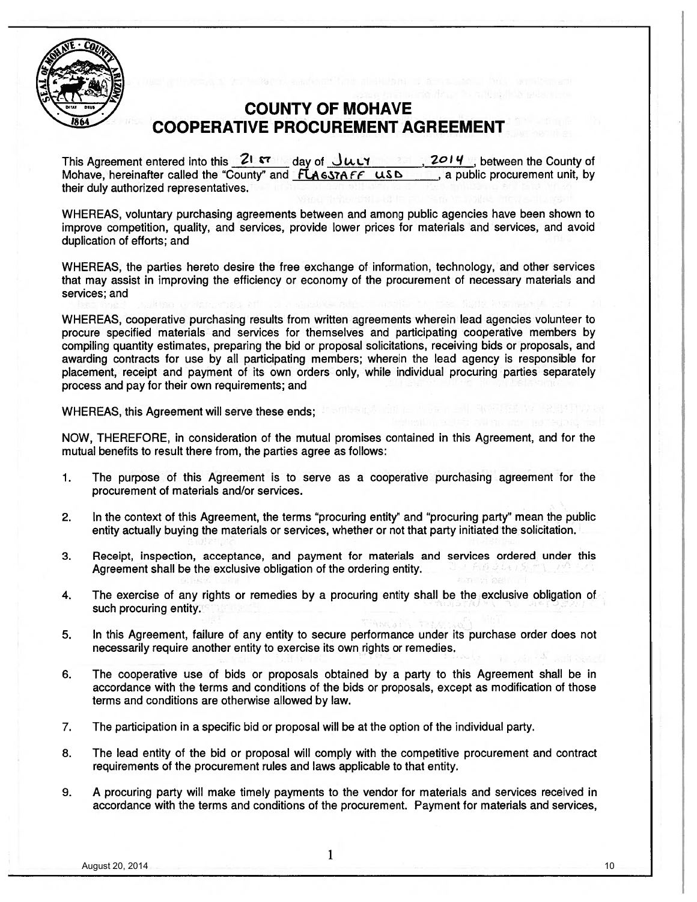

# **COUNTY OF MOHAVE COOPERATIVE PROCUREMENT AGREEMENT**

This Agreement entered into this  $21$   $\sigma$  ay of  $J\mu$ UY 2014, between the County of Mohave, hereinafter called the "County" and FLAGSTAFF USD , a public procurement unit, by their duly authorized representatives.

WHEREAS, voluntary purchasing agreements between and among public agencies have been shown to improve competition, quality, and services, provide lower prices for materials and services, and avoid duplication of efforts; and

WHEREAS, the parties hereto desire the free exchange of information, technology, and other services that may assist in improving the efficiency or economy of the procurement of necessary materials and services; and

WHEREAS, cooperative purchasing results from written agreements wherein lead agencies volunteer to procure specified materials and services for themselves and participating cooperative members by compiling quantity estimates, preparing the bid or proposal solicitations, receiving bids or proposals, and awarding contracts for use by all participating members; wherein the lead agency is responsible for placement, receipt and payment of its own orders only, while individual procuring parties separately process and pay for their own requirements; and

WHEREAS, this Agreement will serve these ends; If so the state

NOW, THEREFORE, in consideration of the mutual promises contained in this Agreement, and for the mutual benefits to result there from, the parties agree as follows:

- The purpose of this Agreement is to serve as a cooperative purchasing agreement for the 1. procurement of materials and/or services.
- In the context of this Agreement, the terms "procuring entity" and "procuring party" mean the public  $2.$ entity actually buying the materials or services, whether or not that party initiated the solicitation.
- 3. Receipt, inspection, acceptance, and payment for materials and services ordered under this Agreement shall be the exclusive obligation of the ordering entity.
- The exercise of any rights or remedies by a procuring entity shall be the exclusive obligation of 4. such procuring entity.
- In this Agreement, failure of any entity to secure performance under its purchase order does not 5. necessarily require another entity to exercise its own rights or remedies.
- 6. The cooperative use of bids or proposals obtained by a party to this Agreement shall be in accordance with the terms and conditions of the bids or proposals, except as modification of those terms and conditions are otherwise allowed by law.
- 7. The participation in a specific bid or proposal will be at the option of the individual party.
- The lead entity of the bid or proposal will comply with the competitive procurement and contract 8. requirements of the procurement rules and laws applicable to that entity.
- A procuring party will make timely payments to the vendor for materials and services received in 9. accordance with the terms and conditions of the procurement. Payment for materials and services,

10